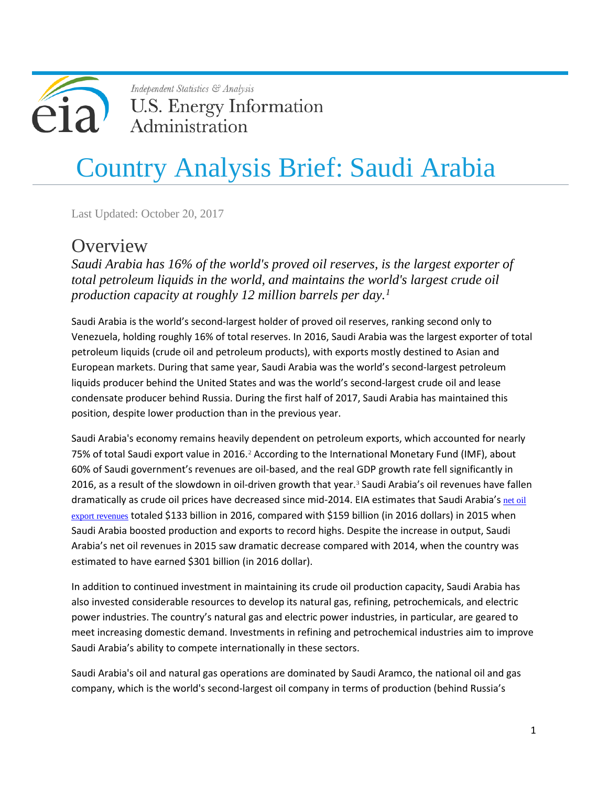

Independent Statistics & Analysis **U.S. Energy Information** Administration

# Country Analysis Brief: Saudi Arabia

Last Updated: October 20, 2017

### **Overview**

*Saudi Arabia has 16% of the world's proved oil reserves, is the largest exporter of total petroleum liquids in the world, and maintains the world's largest crude oil production capacity at roughly 12 million barrels per day. [1](#page-17-0)*

Saudi Arabia is the world's second-largest holder of proved oil reserves, ranking second only to Venezuela, holding roughly 16% of total reserves. In 2016, Saudi Arabia was the largest exporter of total petroleum liquids (crude oil and petroleum products), with exports mostly destined to Asian and European markets. During that same year, Saudi Arabia was the world's second-largest petroleum liquids producer behind the United States and was the world's second-largest crude oil and lease condensate producer behind Russia. During the first half of 2017, Saudi Arabia has maintained this position, despite lower production than in the previous year.

Saudi Arabia's economy remains heavily dependent on petroleum exports, which accounted for nearly 75% of total Saudi export value in [2](#page-17-1)016.<sup>2</sup> According to the International Monetary Fund (IMF), about 60% of Saudi government's revenues are oil-based, and the real GDP growth rate fell significantly in 2016, as a result of the slowdown in oil-driven growth that year.<sup>[3](#page-17-2)</sup> Saudi Arabia's oil revenues have fallen dramatically as crude oil prices have decreased since mid-2014. EIA estimates that Saudi Arabia's net oil [export revenues](https://www.eia.gov/beta/international/regions-topics.cfm?RegionTopicID=OPEC) totaled \$133 billion in 2016, compared with \$159 billion (in 2016 dollars) in 2015 when Saudi Arabia boosted production and exports to record highs. Despite the increase in output, Saudi Arabia's net oil revenues in 2015 saw dramatic decrease compared with 2014, when the country was estimated to have earned \$301 billion (in 2016 dollar).

In addition to continued investment in maintaining its crude oil production capacity, Saudi Arabia has also invested considerable resources to develop its natural gas, refining, petrochemicals, and electric power industries. The country's natural gas and electric power industries, in particular, are geared to meet increasing domestic demand. Investments in refining and petrochemical industries aim to improve Saudi Arabia's ability to compete internationally in these sectors.

Saudi Arabia's oil and natural gas operations are dominated by Saudi Aramco, the national oil and gas company, which is the world's second-largest oil company in terms of production (behind Russia's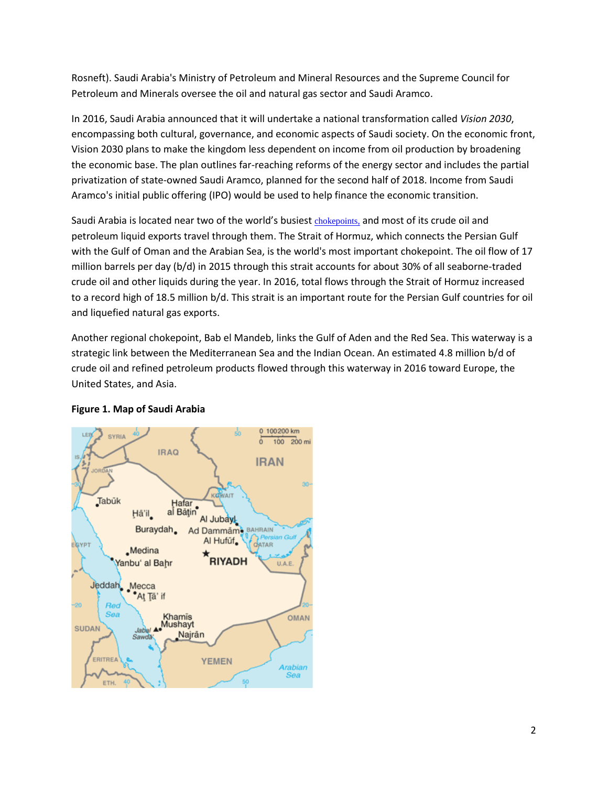Rosneft). Saudi Arabia's Ministry of Petroleum and Mineral Resources and the Supreme Council for Petroleum and Minerals oversee the oil and natural gas sector and Saudi Aramco.

In 2016, Saudi Arabia announced that it will undertake a national transformation called *Vision 2030*, encompassing both cultural, governance, and economic aspects of Saudi society. On the economic front, Vision 2030 plans to make the kingdom less dependent on income from oil production by broadening the economic base. The plan outlines far-reaching reforms of the energy sector and includes the partial privatization of state-owned Saudi Aramco, planned for the second half of 2018. Income from Saudi Aramco's initial public offering (IPO) would be used to help finance the economic transition.

Saudi Arabia is located near two of the world's busiest [chokepoints,](https://www.eia.gov/beta/international/regions-topics.cfm?RegionTopicID=WOTC) and most of its crude oil and petroleum liquid exports travel through them. The Strait of Hormuz, which connects the Persian Gulf with the Gulf of Oman and the Arabian Sea, is the world's most important chokepoint. The oil flow of 17 million barrels per day (b/d) in 2015 through this strait accounts for about 30% of all seaborne-traded crude oil and other liquids during the year. In 2016, total flows through the Strait of Hormuz increased to a record high of 18.5 million b/d. This strait is an important route for the Persian Gulf countries for oil and liquefied natural gas exports.

Another regional chokepoint, Bab el Mandeb, links the Gulf of Aden and the Red Sea. This waterway is a strategic link between the Mediterranean Sea and the Indian Ocean. An estimated 4.8 million b/d of crude oil and refined petroleum products flowed through this waterway in 2016 toward Europe, the United States, and Asia.



#### **Figure 1. Map of Saudi Arabia**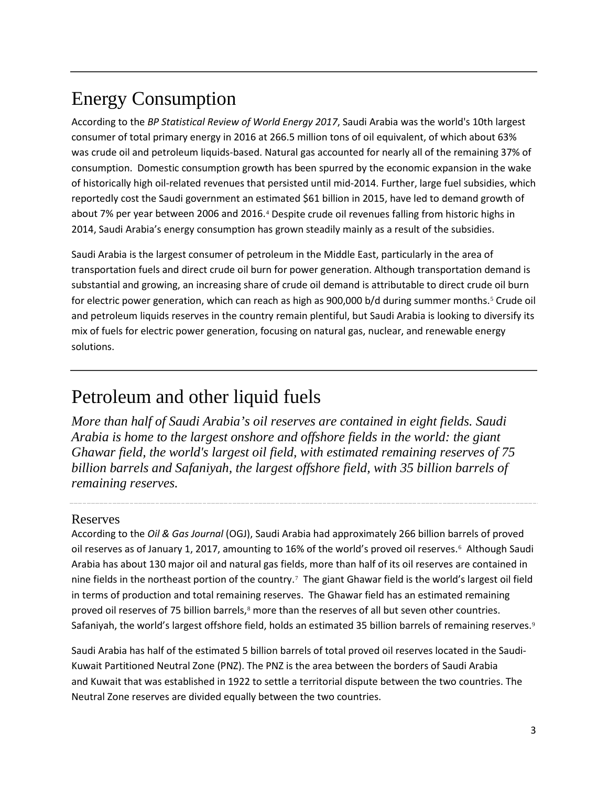## Energy Consumption

According to the *BP Statistical Review of World Energy 2017*, Saudi Arabia was the world's 10th largest consumer of total primary energy in 2016 at 266.5 million tons of oil equivalent, of which about 63% was crude oil and petroleum liquids-based. Natural gas accounted for nearly all of the remaining 37% of consumption. Domestic consumption growth has been spurred by the economic expansion in the wake of historically high oil-related revenues that persisted until mid-2014. Further, large fuel subsidies, which reportedly cost the Saudi government an estimated \$61 billion in 2015, have led to demand growth of about 7% per year between 2006 and 2016.[4](#page-18-0) Despite crude oil revenues falling from historic highs in 2014, Saudi Arabia's energy consumption has grown steadily mainly as a result of the subsidies.

Saudi Arabia is the largest consumer of petroleum in the Middle East, particularly in the area of transportation fuels and direct crude oil burn for power generation. Although transportation demand is substantial and growing, an increasing share of crude oil demand is attributable to direct crude oil burn for electric power generation, which can reach as high as 900,000 b/d during summer months.<sup>[5](#page-18-1)</sup> Crude oil and petroleum liquids reserves in the country remain plentiful, but Saudi Arabia is looking to diversify its mix of fuels for electric power generation, focusing on natural gas, nuclear, and renewable energy solutions.

### Petroleum and other liquid fuels

*More than half of Saudi Arabia's oil reserves are contained in eight fields. Saudi Arabia is home to the largest onshore and offshore fields in the world: the giant Ghawar field, the world's largest oil field, with estimated remaining reserves of 75 billion barrels and Safaniyah, the largest offshore field, with 35 billion barrels of remaining reserves.*

#### Reserves

According to the *Oil & Gas Journal* (OGJ), Saudi Arabia had approximately 266 billion barrels of proved oil reserves as of January 1, 2017, amounting to 16% of the world's proved oil reserves.[6](#page-18-2) Although Saudi Arabia has about 130 major oil and natural gas fields, more than half of its oil reserves are contained in nine fields in the northeast portion of the country.[7](#page-18-3) The giant Ghawar field is the world's largest oil field in terms of production and total remaining reserves. The Ghawar field has an estimated remaining proved oil reserves of 75 billion barrels,<sup>[8](#page-18-4)</sup> more than the reserves of all but seven other countries. Safaniyah, the world's largest offshore field, holds an estimated 35 billion barrels of remaining reserves.<sup>[9](#page-18-5)</sup>

Saudi Arabia has half of the estimated 5 billion barrels of total proved oil reserves located in the Saudi-Kuwait Partitioned Neutral Zone (PNZ). The PNZ is the area between the borders of Saudi Arabia and [Kuwait](http://www.eia.gov/countries/cab.cfm?fips=KU) that was established in 1922 to settle a territorial dispute between the two countries. The Neutral Zone reserves are divided equally between the two countries.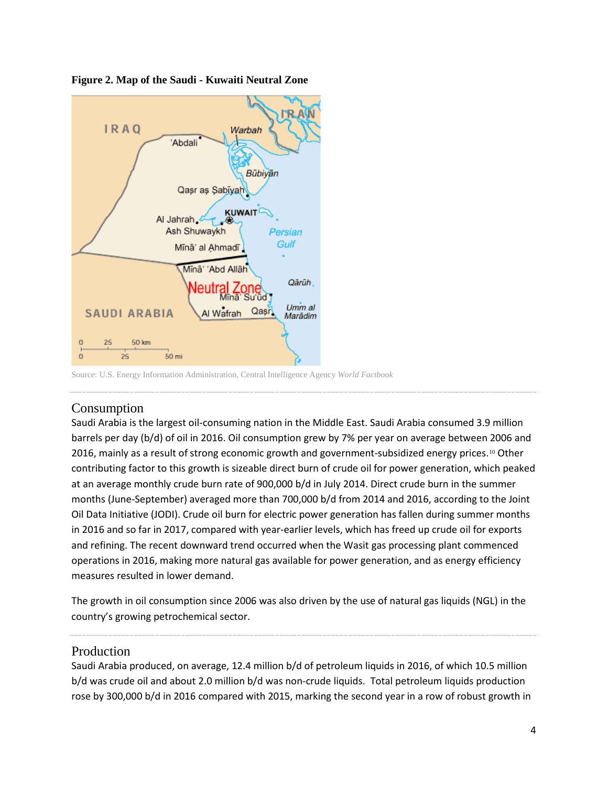

**Figure 2. Map of the Saudi - Kuwaiti Neutral Zone**

Source: U.S. Energy Information Administration, Central Intelligence Agency *World Factbook*

#### Consumption

Saudi Arabia is the largest oil-consuming nation in the Middle East. Saudi Arabia consumed 3.9 million barrels per day (b/d) of oil in 2016. Oil consumption grew by 7% per year on average between 2006 and 2016, mainly as a result of strong economic growth and government-subsidized energy prices.<sup>[10](#page-18-6)</sup> Other contributing factor to this growth is sizeable direct burn of crude oil for power generation, which peaked at an average monthly crude burn rate of 900,000 b/d in July 2014. Direct crude burn in the summer months (June-September) averaged more than 700,000 b/d from 2014 and 2016, according to the Joint Oil Data Initiative (JODI). Crude oil burn for electric power generation has fallen during summer months in 2016 and so far in 2017, compared with year-earlier levels, which has freed up crude oil for exports and refining. The recent downward trend occurred when the Wasit gas processing plant commenced operations in 2016, making more natural gas available for power generation, and as energy efficiency measures resulted in lower demand.

The growth in oil consumption since 2006 was also driven by the use of natural gas liquids (NGL) in the country's growing petrochemical sector.

#### Production

Saudi Arabia produced, on average, 12.4 million b/d of petroleum liquids in 2016, of which 10.5 million b/d was crude oil and about 2.0 million b/d was non-crude liquids. Total petroleum liquids production rose by 300,000 b/d in 2016 compared with 2015, marking the second year in a row of robust growth in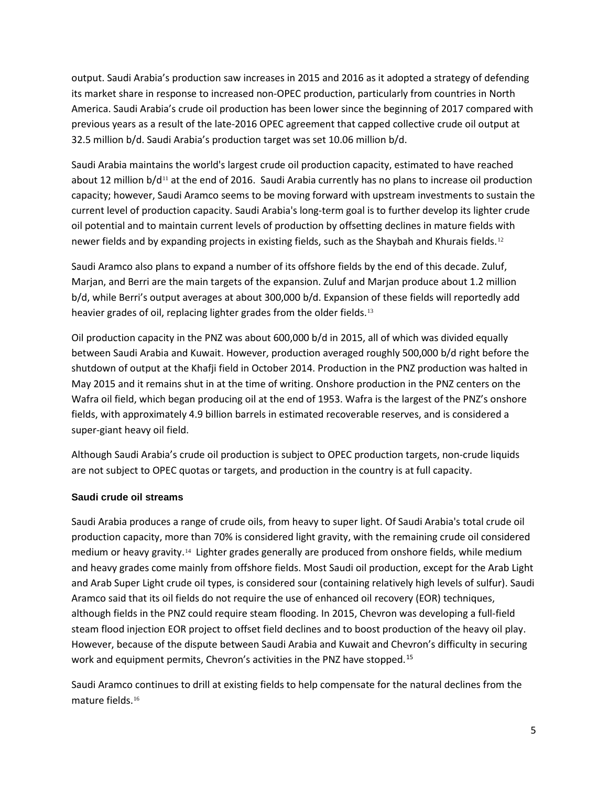output. Saudi Arabia's production saw increases in 2015 and 2016 as it adopted a strategy of defending its market share in response to increased non-OPEC production, particularly from countries in North America. Saudi Arabia's crude oil production has been lower since the beginning of 2017 compared with previous years as a result of the late-2016 OPEC agreement that capped collective crude oil output at 32.5 million b/d. Saudi Arabia's production target was set 10.06 million b/d.

Saudi Arabia maintains the world's largest crude oil production capacity, estimated to have reached about 12 million  $b/d^{11}$  $b/d^{11}$  $b/d^{11}$  at the end of 2016. Saudi Arabia currently has no plans to increase oil production capacity; however, Saudi Aramco seems to be moving forward with upstream investments to sustain the current level of production capacity. Saudi Arabia's long-term goal is to further develop its lighter crude oil potential and to maintain current levels of production by offsetting declines in mature fields with newer fields and by expanding projects in existing fields, such as the Shaybah and Khurais fields.[12](#page-18-8)

Saudi Aramco also plans to expand a number of its offshore fields by the end of this decade. Zuluf, Marjan, and Berri are the main targets of the expansion. Zuluf and Marjan produce about 1.2 million b/d, while Berri's output averages at about 300,000 b/d. Expansion of these fields will reportedly add heavier grades of oil, replacing lighter grades from the older fields.<sup>[13](#page-18-9)</sup>

Oil production capacity in the PNZ was about 600,000 b/d in 2015, all of which was divided equally between Saudi Arabia and Kuwait. However, production averaged roughly 500,000 b/d right before the shutdown of output at the Khafji field in October 2014. Production in the PNZ production was halted in May 2015 and it remains shut in at the time of writing. Onshore production in the PNZ centers on the Wafra oil field, which began producing oil at the end of 1953. Wafra is the largest of the PNZ's onshore fields, with approximately 4.9 billion barrels in estimated recoverable reserves, and is considered a super-giant heavy oil field.

Although Saudi Arabia's crude oil production is subject to OPEC production targets, non-crude liquids are not subject to OPEC quotas or targets, and production in the country is at full capacity.

#### **Saudi crude oil streams**

Saudi Arabia produces a range of crude oils, from heavy to super light. Of Saudi Arabia's total crude oil production capacity, more than 70% is considered light gravity, with the remaining crude oil considered medium or heavy gravity.[14](#page-18-10) Lighter grades generally are produced from onshore fields, while medium and heavy grades come mainly from offshore fields. Most Saudi oil production, except for the Arab Light and Arab Super Light crude oil types, is considered sour (containing relatively high levels of sulfur). Saudi Aramco said that its oil fields do not require the use of enhanced oil recovery (EOR) techniques, although fields in the PNZ could require steam flooding. In 2015, Chevron was developing a full-field steam flood injection EOR project to offset field declines and to boost production of the heavy oil play. However, because of the dispute between Saudi Arabia and Kuwait and Chevron's difficulty in securing work and equipment permits, Chevron's activities in the PNZ have stopped.<sup>[15](#page-18-11)</sup>

Saudi Aramco continues to drill at existing fields to help compensate for the natural declines from the mature fields.[16](#page-18-12)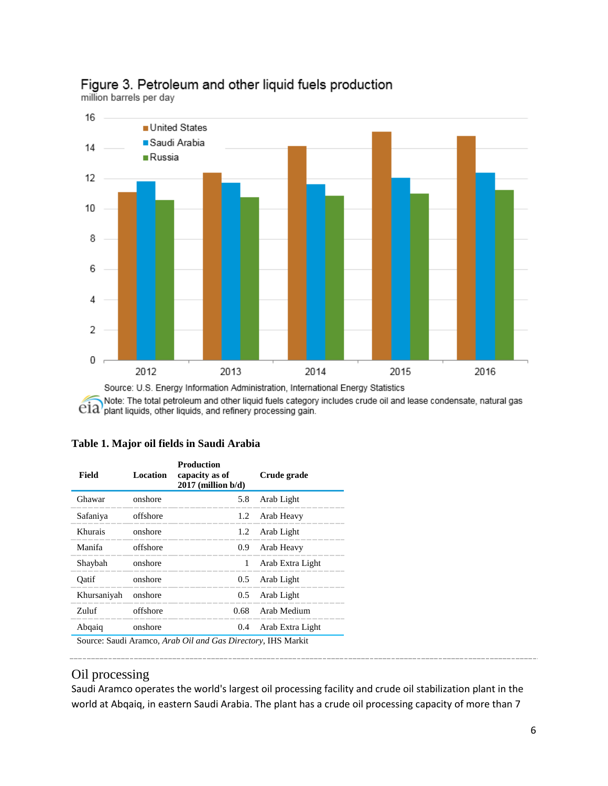

### Figure 3. Petroleum and other liquid fuels production

million barrels per day

Note: The total petroleum and other liquid fuels category includes crude oil and lease condensate, natural gas  $e$ ia) plant liquids, other liquids, and refinery processing gain.

| Field       | Location | <b>Production</b><br>capacity as of<br>$2017$ (million $b/d$ ) | Crude grade      |
|-------------|----------|----------------------------------------------------------------|------------------|
| Ghawar      | onshore  | 5.8                                                            | Arab Light       |
| Safaniya    | offshore | 1.2                                                            | Arab Heavy       |
| Khurais     | onshore  | 1.2                                                            | Arab Light       |
| Manifa      | offshore | 0.9 <sub>2</sub>                                               | Arab Heavy       |
| Shaybah     | onshore  | 1                                                              | Arab Extra Light |
| Oatif       | onshore  | $0.5^{\circ}$                                                  | Arab Light       |
| Khursaniyah | onshore  | 0.5                                                            | Arab Light       |
| Zuluf       | offshore | 0.68                                                           | Arab Medium      |
| Abqaiq      | onshore  | 0.4                                                            | Arab Extra Light |

#### **Table 1. Major oil fields in Saudi Arabia**

Source: Saudi Aramco, *Arab Oil and Gas Directory*, IHS Markit

#### Oil processing

Saudi Aramco operates the world's largest oil processing facility and crude oil stabilization plant in the world at Abqaiq, in eastern Saudi Arabia. The plant has a crude oil processing capacity of more than 7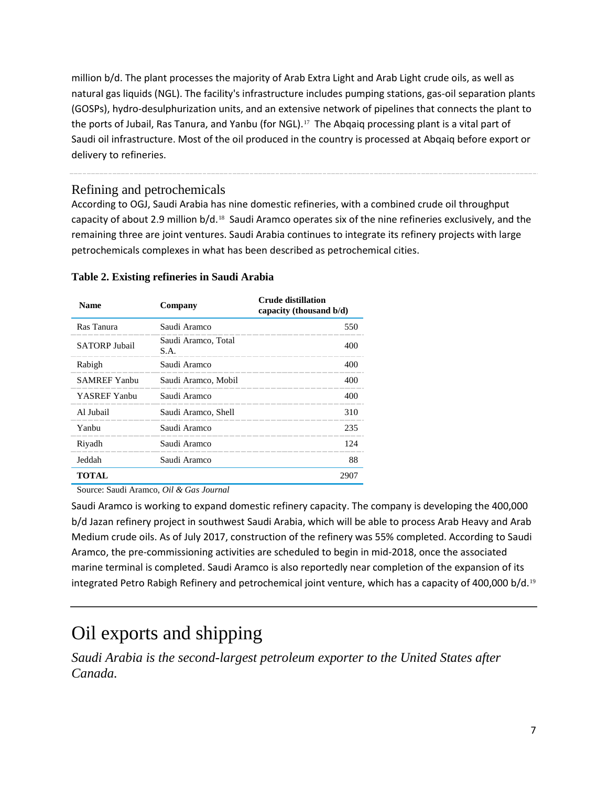million b/d. The plant processes the majority of Arab Extra Light and Arab Light crude oils, as well as natural gas liquids (NGL). The facility's infrastructure includes pumping stations, gas-oil separation plants (GOSPs), hydro-desulphurization units, and an extensive network of pipelines that connects the plant to the ports of Jubail, Ras Tanura, and Yanbu (for NGL).<sup>[17](#page-18-13)</sup> The Abqaiq processing plant is a vital part of Saudi oil infrastructure. Most of the oil produced in the country is processed at Abqaiq before export or delivery to refineries.

#### Refining and petrochemicals

According to OGJ, Saudi Arabia has nine domestic refineries, with a combined crude oil throughput capacity of about 2.9 million b/d.[18](#page-18-14) Saudi Aramco operates six of the nine refineries exclusively, and the remaining three are joint ventures. Saudi Arabia continues to integrate its refinery projects with large petrochemicals complexes in what has been described as petrochemical cities.

| <b>Name</b>          | Company                     | <b>Crude distillation</b><br>capacity (thousand b/d) |
|----------------------|-----------------------------|------------------------------------------------------|
| Ras Tanura           | Saudi Aramco                | 550                                                  |
| <b>SATORP Jubail</b> | Saudi Aramco, Total<br>S.A. | 400                                                  |
| Rabigh               | Saudi Aramco                | 400                                                  |
| <b>SAMREF Yanbu</b>  | Saudi Aramco, Mobil         | 400                                                  |
| YASREF Yanbu         | Saudi Aramco                | 400                                                  |
| Al Jubail            | Saudi Aramco, Shell         | 310                                                  |
| Yanbu                | Saudi Aramco                | 235                                                  |
| Riyadh               | Saudi Aramco                | 124                                                  |
| Jeddah               | Saudi Aramco                | 88                                                   |
| TOTAL                |                             | 2907                                                 |

#### **Table 2. Existing refineries in Saudi Arabia**

Source: Saudi Aramco, *Oil & Gas Journal*

Saudi Aramco is working to expand domestic refinery capacity. The company is developing the 400,000 b/d Jazan refinery project in southwest Saudi Arabia, which will be able to process Arab Heavy and Arab Medium crude oils. As of July 2017, construction of the refinery was 55% completed. According to Saudi Aramco, the pre-commissioning activities are scheduled to begin in mid-2018, once the associated marine terminal is completed. Saudi Aramco is also reportedly near completion of the expansion of its integrated Petro Rabigh Refinery and petrochemical joint venture, which has a capacity of 400,000 b/d.<sup>[19](#page-18-15)</sup>

### Oil exports and shipping

*Saudi Arabia is the second-largest petroleum exporter to the United States after Canada.*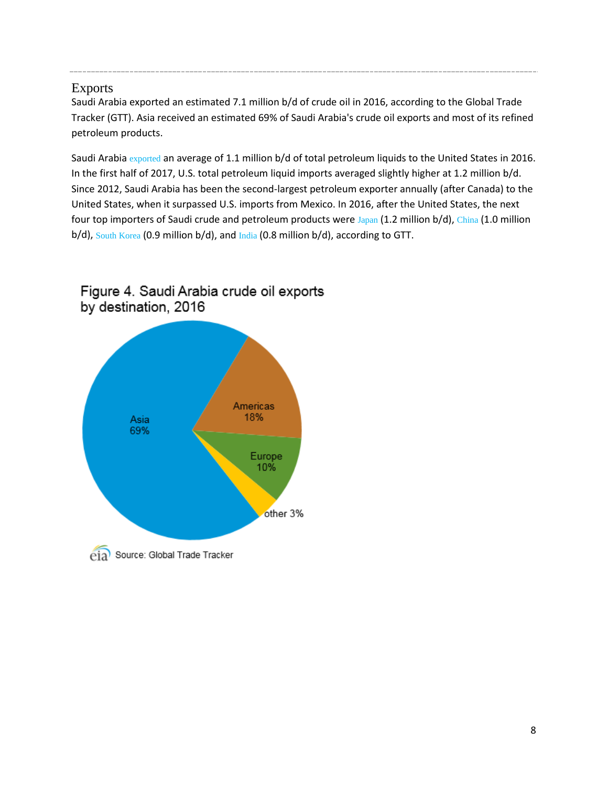#### Exports

Saudi Arabia exported an estimated 7.1 million b/d of crude oil in 2016, according to the Global Trade Tracker (GTT). Asia received an estimated 69% of Saudi Arabia's crude oil exports and most of its refined petroleum products.

Saudi Arabia [exported](http://www.eia.gov/dnav/pet/hist/LeafHandler.ashx?n=PET&s=MCRIMUSSA2&f=M) an average of 1.1 million b/d of total petroleum liquids to the United States in 2016. In the first half of 2017, U.S. total petroleum liquid imports averaged slightly higher at 1.2 million b/d. Since 2012, Saudi Arabia has been the second-largest petroleum exporter annually (after Canada) to the United States, when it surpassed U.S. imports from Mexico. In 2016, after the United States, the next four top importers of Saudi crude and petroleum products were [Japan](http://www.eia.gov/countries/cab.cfm?fips=JA) (1.2 million b/d), [China](http://www.eia.gov/countries/cab.cfm?fips=CH) (1.0 million b/d), [South Korea](http://www.eia.gov/countries/cab.cfm?fips=KS) (0.9 million b/d), and [India](http://www.eia.gov/countries/cab.cfm?fips=IN) (0.8 million b/d), according to GTT.



#### Figure 4. Saudi Arabia crude oil exports by destination, 2016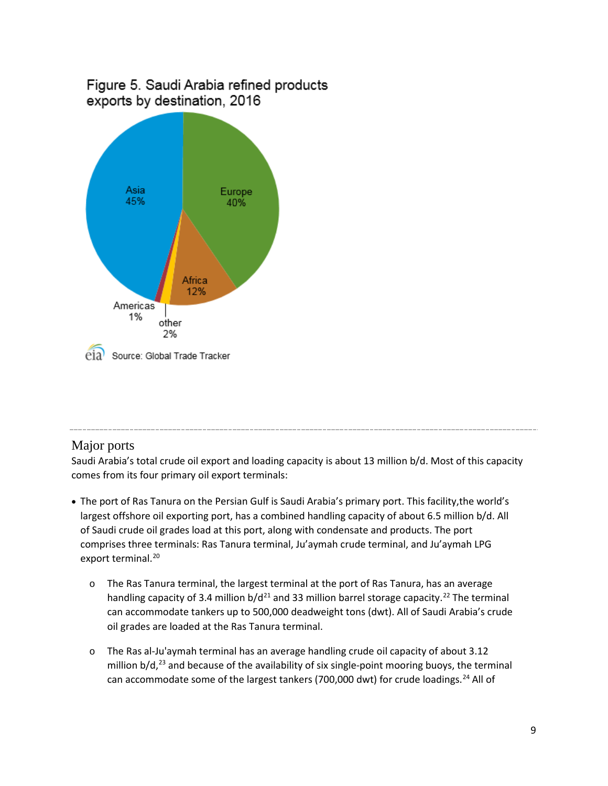#### Figure 5. Saudi Arabia refined products exports by destination, 2016



#### Major ports

Saudi Arabia's total crude oil export and loading capacity is about 13 million b/d. Most of this capacity comes from its four primary oil export terminals:

- The port of Ras Tanura on the Persian Gulf is Saudi Arabia's primary port. This facility,the world's largest offshore oil exporting port, has a combined handling capacity of about 6.5 million b/d. All of Saudi crude oil grades load at this port, along with condensate and products. The port comprises three terminals: Ras Tanura terminal, Ju'aymah crude terminal, and Ju'aymah LPG export terminal.<sup>[20](#page-18-16)</sup>
	- o The Ras Tanura terminal, the largest terminal at the port of Ras Tanura, has an average handling capacity of 3.4 million  $b/d^{21}$  $b/d^{21}$  $b/d^{21}$  and 33 million barrel storage capacity.<sup>[22](#page-18-18)</sup> The terminal can accommodate tankers up to 500,000 deadweight tons (dwt). All of Saudi Arabia's crude oil grades are loaded at the Ras Tanura terminal.
	- o The Ras al-Ju'aymah terminal has an average handling crude oil capacity of about 3.12 million  $b/d$ ,<sup>[23](#page-18-19)</sup> and because of the availability of six single-point mooring buoys, the terminal can accommodate some of the largest tankers (700,000 dwt) for crude loadings.<sup>[24](#page-18-20)</sup> All of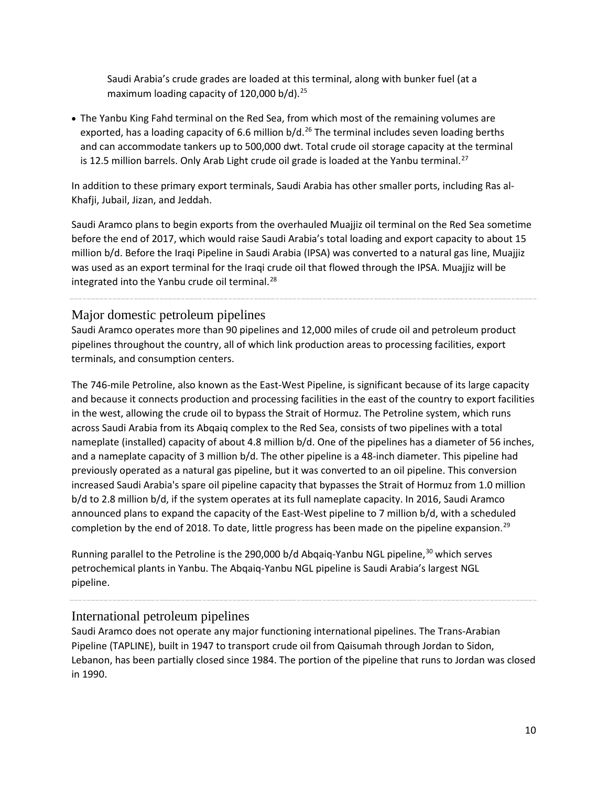Saudi Arabia's crude grades are loaded at this terminal, along with bunker fuel (at a maximum loading capacity of 120,000 b/d).<sup>[25](#page-18-21)</sup>

• The Yanbu King Fahd terminal on the Red Sea, from which most of the remaining volumes are exported, has a loading capacity of 6.6 million  $b/d.<sup>26</sup>$  $b/d.<sup>26</sup>$  $b/d.<sup>26</sup>$  The terminal includes seven loading berths and can accommodate tankers up to 500,000 dwt. Total crude oil storage capacity at the terminal is 12.5 million barrels. Only Arab Light crude oil grade is loaded at the Yanbu terminal.<sup>[27](#page-18-23)</sup>

In addition to these primary export terminals, Saudi Arabia has other smaller ports, including Ras al-Khafji, Jubail, Jizan, and Jeddah.

Saudi Aramco plans to begin exports from the overhauled Muajjiz oil terminal on the Red Sea sometime before the end of 2017, which would raise Saudi Arabia's total loading and export capacity to about 15 million b/d. Before the Iraqi Pipeline in Saudi Arabia (IPSA) was converted to a natural gas line, Muajjiz was used as an export terminal for the Iraqi crude oil that flowed through the IPSA. Muajjiz will be integrated into the Yanbu crude oil terminal. $^{28}$  $^{28}$  $^{28}$ 

Major domestic petroleum pipelines

Saudi Aramco operates more than 90 pipelines and 12,000 miles of crude oil and petroleum product pipelines throughout the country, all of which link production areas to processing facilities, export terminals, and consumption centers.

The 746-mile Petroline, also known as the East-West Pipeline, is significant because of its large capacity and because it connects production and processing facilities in the east of the country to export facilities in the west, allowing the crude oil to bypass the Strait of Hormuz. The Petroline system, which runs across Saudi Arabia from its Abqaiq complex to the Red Sea, consists of two pipelines with a total nameplate (installed) capacity of about 4.8 million b/d. One of the pipelines has a diameter of 56 inches, and a nameplate capacity of 3 million b/d. The other pipeline is a 48-inch diameter. This pipeline had previously operated as a natural gas pipeline, but it was converted to an oil pipeline. This conversion increased Saudi Arabia's spare oil pipeline capacity that bypasses the Strait of Hormuz from 1.0 million b/d to 2.8 million b/d, if the system operates at its full nameplate capacity. In 2016, Saudi Aramco announced plans to expand the capacity of the East-West pipeline to 7 million b/d, with a scheduled completion by the end of 2018. To date, little progress has been made on the pipeline expansion.<sup>[29](#page-18-25)</sup>

Running parallel to the Petroline is the 290,000 b/d Abqaiq-Yanbu NGL pipeline,<sup>[30](#page-18-26)</sup> which serves petrochemical plants in Yanbu. The Abqaiq-Yanbu NGL pipeline is Saudi Arabia's largest NGL pipeline.

#### International petroleum pipelines

Saudi Aramco does not operate any major functioning international pipelines. The Trans-Arabian Pipeline (TAPLINE), built in 1947 to transport crude oil from Qaisumah through Jordan to Sidon, Lebanon, has been partially closed since 1984. The portion of the pipeline that runs to Jordan was closed in 1990.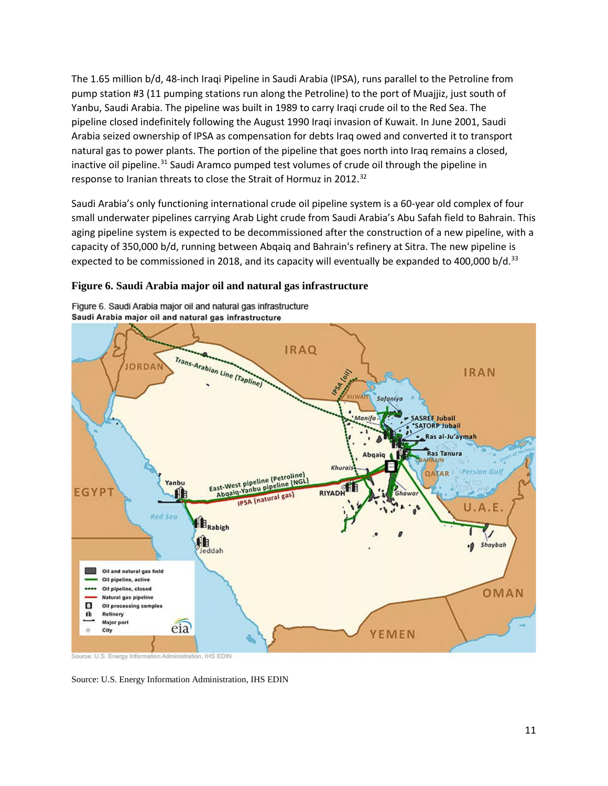The 1.65 million b/d, 48-inch Iraqi Pipeline in Saudi Arabia (IPSA), runs parallel to the Petroline from pump station #3 (11 pumping stations run along the Petroline) to the port of Muajjiz, just south of Yanbu, Saudi Arabia. The pipeline was built in 1989 to carry Iraqi crude oil to the Red Sea. The pipeline closed indefinitely following the August 1990 Iraqi invasion of [Kuwait.](https://www.eia.gov/beta/international/analysis.cfm?iso=KWT) In June 2001, Saudi Arabia seized ownership of IPSA as compensation for debts Iraq owed and converted it to transport natural gas to power plants. The portion of the pipeline that goes north into Iraq remains a closed, inactive oil pipeline.<sup>[31](#page-18-27)</sup> Saudi Aramco pumped test volumes of crude oil through the pipeline in response to Iranian threats to close the Strait of Hormuz in 2012.<sup>[32](#page-18-28)</sup>

Saudi Arabia's only functioning international crude oil pipeline system is a 60-year old complex of four small underwater pipelines carrying Arab Light crude from Saudi Arabia's Abu Safah field to Bahrain. This aging pipeline system is expected to be decommissioned after the construction of a new pipeline, with a capacity of 350,000 b/d, running between Abqaiq and Bahrain's refinery at Sitra. The new pipeline is expected to be commissioned in 2018, and its capacity will eventually be expanded to 400,000 b/d.<sup>[33](#page-18-29)</sup>

#### **Figure 6. Saudi Arabia major oil and natural gas infrastructure**



Figure 6. Saudi Arabia major oil and natural gas infrastructure

Source: U.S. Energy Information Administration, IHS EDIN

Source: U.S. Energy Information Administration, IHS EDIN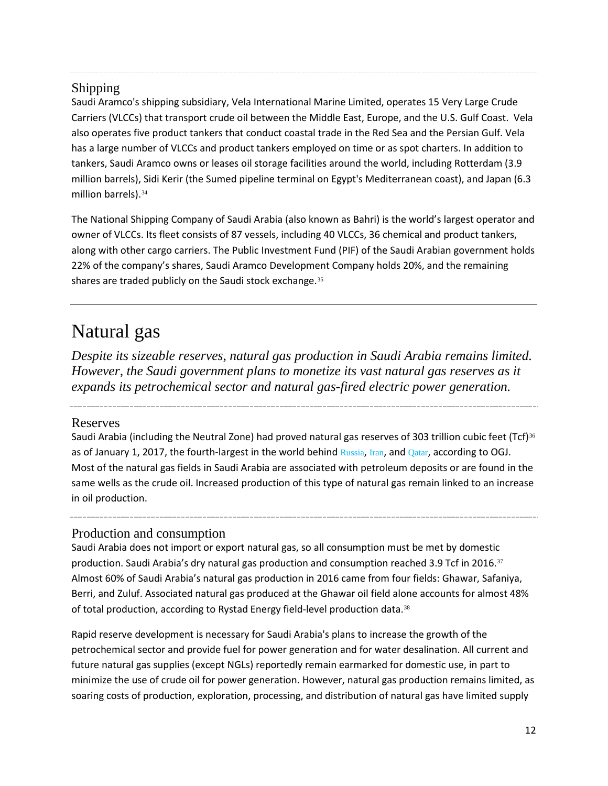#### Shipping

Saudi Aramco's shipping subsidiary, Vela International Marine Limited, operates 15 Very Large Crude Carriers (VLCCs) that transport crude oil between the Middle East, Europe, and the U.S. Gulf Coast. Vela also operates five product tankers that conduct coastal trade in the Red Sea and the Persian Gulf. Vela has a large number of VLCCs and product tankers employed on time or as spot charters. In addition to tankers, Saudi Aramco owns or leases oil storage facilities around the world, including Rotterdam (3.9 million barrels), Sidi Kerir (the Sumed pipeline terminal on Egypt's Mediterranean coast), and Japan (6.3 million barrels). [34](#page-18-30)

The National Shipping Company of Saudi Arabia (also known as Bahri) is the world's largest operator and owner of VLCCs. Its fleet consists of 87 vessels, including 40 VLCCs, 36 chemical and product tankers, along with other cargo carriers. The Public Investment Fund (PIF) of the Saudi Arabian government holds 22% of the company's shares, Saudi Aramco Development Company holds 20%, and the remaining shares are traded publicly on the Saudi stock exchange.<sup>[35](#page-18-31)</sup>

### Natural gas

*Despite its sizeable reserves, natural gas production in Saudi Arabia remains limited. However, the Saudi government plans to monetize its vast natural gas reserves as it expands its petrochemical sector and natural gas-fired electric power generation.* 

#### Reserves

Saudi Arabia (including the Neutral Zone) had proved natural gas reserves of 303 trillion cubic feet (Tcf)<sup>[36](#page-18-32)</sup> as of January 1, 2017, the fourth-largest in the world behind [Russia](http://www.eia.gov/countries/cab.cfm?fips=RS), [Iran](http://www.eia.gov/countries/cab.cfm?fips=IR), and [Qatar](http://www.eia.gov/countries/cab.cfm?fips=QA), according to OGJ. Most of the natural gas fields in Saudi Arabia are associated with petroleum deposits or are found in the same wells as the crude oil. Increased production of this type of natural gas remain linked to an increase in oil production.

#### Production and consumption

Saudi Arabia does not import or export natural gas, so all consumption must be met by domestic production. Saudi Arabia's dry natural gas production and consumption reached 3.9 Tcf in 2016.[37](#page-18-33) Almost 60% of Saudi Arabia's natural gas production in 2016 came from four fields: Ghawar, Safaniya, Berri, and Zuluf. Associated natural gas produced at the Ghawar oil field alone accounts for almost 48% of total production, according to Rystad Energy field-level production data.<sup>[38](#page-18-34)</sup>

Rapid reserve development is necessary for Saudi Arabia's plans to increase the growth of the petrochemical sector and provide fuel for power generation and for water desalination. All current and future natural gas supplies (except NGLs) reportedly remain earmarked for domestic use, in part to minimize the use of crude oil for power generation. However, natural gas production remains limited, as soaring costs of production, exploration, processing, and distribution of natural gas have limited supply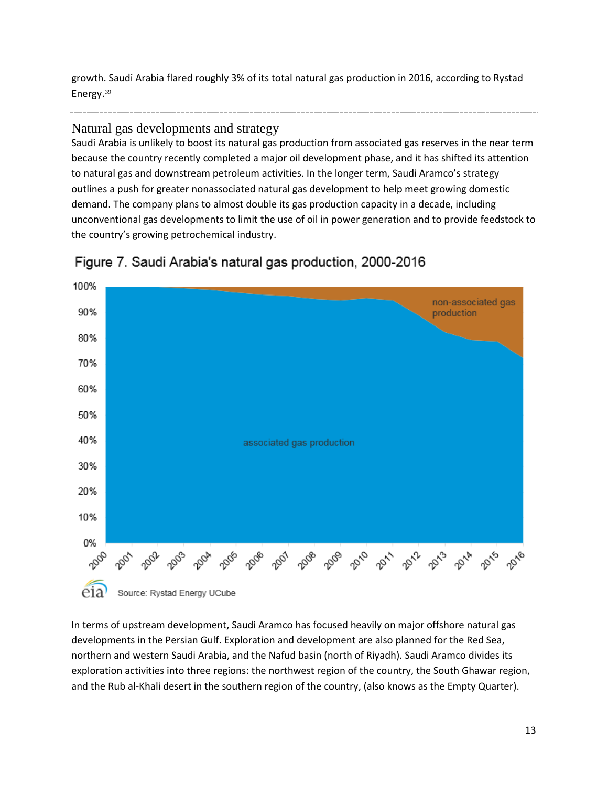growth. Saudi Arabia flared roughly 3% of its total natural gas production in 2016, according to Rystad Energy.[39](#page-18-35)

#### Natural gas developments and strategy

Saudi Arabia is unlikely to boost its natural gas production from associated gas reserves in the near term because the country recently completed a major oil development phase, and it has shifted its attention to natural gas and downstream petroleum activities. In the longer term, Saudi Aramco's strategy outlines a push for greater nonassociated natural gas development to help meet growing domestic demand. The company plans to almost double its gas production capacity in a decade, including unconventional gas developments to limit the use of oil in power generation and to provide feedstock to the country's growing petrochemical industry.



Figure 7. Saudi Arabia's natural gas production, 2000-2016

In terms of upstream development, Saudi Aramco has focused heavily on major offshore natural gas developments in the Persian Gulf. Exploration and development are also planned for the Red Sea, northern and western Saudi Arabia, and the Nafud basin (north of Riyadh). Saudi Aramco divides its exploration activities into three regions: the northwest region of the country, the South Ghawar region, and the Rub al-Khali desert in the southern region of the country, (also knows as the Empty Quarter).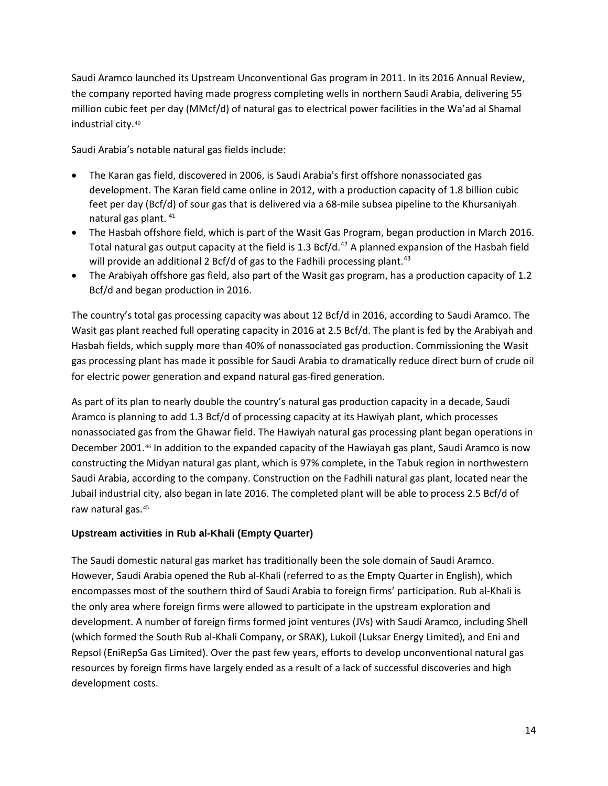Saudi Aramco launched its Upstream Unconventional Gas program in 2011. In its 2016 Annual Review, the company reported having made progress completing wells in northern Saudi Arabia, delivering 55 million cubic feet per day (MMcf/d) of natural gas to electrical power facilities in the Wa'ad al Shamal industrial city.[40](#page-18-36)

Saudi Arabia's notable natural gas fields include:

- The Karan gas field, discovered in 2006, is Saudi Arabia's first offshore nonassociated gas development. The Karan field came online in 2012, with a production capacity of 1.8 billion cubic feet per day (Bcf/d) of sour gas that is delivered via a 68-mile subsea pipeline to the Khursaniyah natural gas plant. [41](#page-18-37)
- The Hasbah offshore field, which is part of the Wasit Gas Program, began production in March 2016. Total natural gas output capacity at the field is 1.3 Bcf/d.<sup>[42](#page-18-38)</sup> A planned expansion of the Hasbah field will provide an additional 2 Bcf/d of gas to the Fadhili processing plant.<sup>[43](#page-18-39)</sup>
- The Arabiyah offshore gas field, also part of the Wasit gas program, has a production capacity of 1.2 Bcf/d and began production in 2016.

The country's total gas processing capacity was about 12 Bcf/d in 2016, according to Saudi Aramco. The Wasit gas plant reached full operating capacity in 2016 at 2.5 Bcf/d. The plant is fed by the Arabiyah and Hasbah fields, which supply more than 40% of nonassociated gas production. Commissioning the Wasit gas processing plant has made it possible for Saudi Arabia to dramatically reduce direct burn of crude oil for electric power generation and expand natural gas-fired generation.

As part of its plan to nearly double the country's natural gas production capacity in a decade, Saudi Aramco is planning to add 1.3 Bcf/d of processing capacity at its Hawiyah plant, which processes nonassociated gas from the Ghawar field. The Hawiyah natural gas processing plant began operations in December 2001.<sup>[44](#page-18-40)</sup> In addition to the expanded capacity of the Hawiayah gas plant, Saudi Aramco is now constructing the Midyan natural gas plant, which is 97% complete, in the Tabuk region in northwestern Saudi Arabia, according to the company. Construction on the Fadhili natural gas plant, located near the Jubail industrial city, also began in late 2016. The completed plant will be able to process 2.5 Bcf/d of raw natural gas.[45](#page-18-41)

#### **Upstream activities in Rub al-Khali (Empty Quarter)**

The Saudi domestic natural gas market has traditionally been the sole domain of Saudi Aramco. However, Saudi Arabia opened the Rub al-Khali (referred to as the Empty Quarter in English), which encompasses most of the southern third of Saudi Arabia to foreign firms' participation. Rub al-Khali is the only area where foreign firms were allowed to participate in the upstream exploration and development. A number of foreign firms formed joint ventures (JVs) with Saudi Aramco, including Shell (which formed the South Rub al-Khali Company, or SRAK), Lukoil (Luksar Energy Limited), and Eni and Repsol (EniRepSa Gas Limited). Over the past few years, efforts to develop unconventional natural gas resources by foreign firms have largely ended as a result of a lack of successful discoveries and high development costs.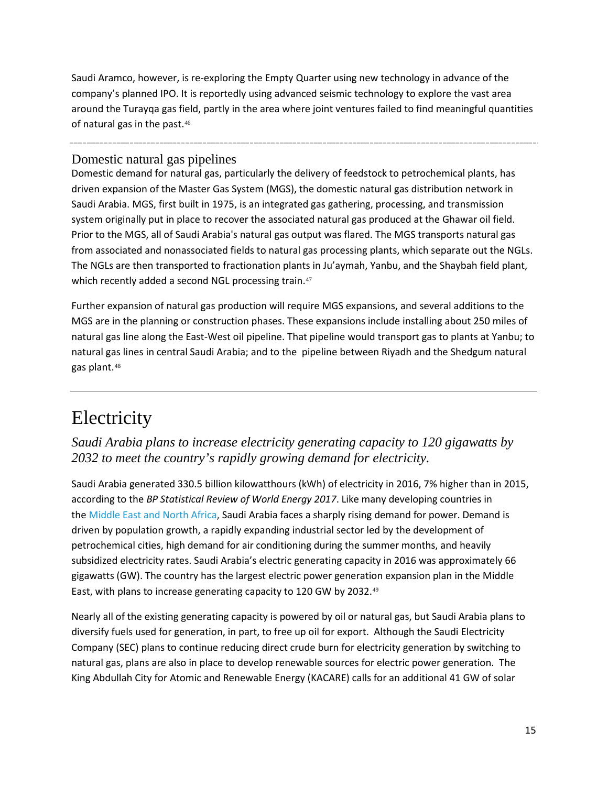Saudi Aramco, however, is re-exploring the Empty Quarter using new technology in advance of the company's planned IPO. It is reportedly using advanced seismic technology to explore the vast area around the Turayqa gas field, partly in the area where joint ventures failed to find meaningful quantities of natural gas in the past.[46](#page-18-42)

#### Domestic natural gas pipelines

Domestic demand for natural gas, particularly the delivery of feedstock to petrochemical plants, has driven expansion of the Master Gas System (MGS), the domestic natural gas distribution network in Saudi Arabia. MGS, first built in 1975, is an integrated gas gathering, processing, and transmission system originally put in place to recover the associated natural gas produced at the Ghawar oil field. Prior to the MGS, all of Saudi Arabia's natural gas output was flared. The MGS transports natural gas from associated and nonassociated fields to natural gas processing plants, which separate out the NGLs. The NGLs are then transported to fractionation plants in Ju'aymah, Yanbu, and the Shaybah field plant, which recently added a second NGL processing train.<sup>[47](#page-18-43)</sup>

Further expansion of natural gas production will require MGS expansions, and several additions to the MGS are in the planning or construction phases. These expansions include installing about 250 miles of natural gas line along the East-West oil pipeline. That pipeline would transport gas to plants at Yanbu; to natural gas lines in central Saudi Arabia; and to the pipeline between Riyadh and the Shedgum natural gas plant.[48](#page-18-44)

### **Electricity**

*Saudi Arabia plans to increase electricity generating capacity to 120 gigawatts by 2032 to meet the country's rapidly growing demand for electricity.*

Saudi Arabia generated 330.5 billion kilowatthours (kWh) of electricity in 2016, 7% higher than in 2015, according to the *BP Statistical Review of World Energy 2017*. Like many developing countries in the [Middle](http://www.eia.gov/countries/mena/) East and North Africa, Saudi Arabia faces a sharply rising demand for power. Demand is driven by population growth, a rapidly expanding industrial sector led by the development of petrochemical cities, high demand for air conditioning during the summer months, and heavily subsidized electricity rates. Saudi Arabia's electric generating capacity in 2016 was approximately 66 gigawatts (GW). The country has the largest electric power generation expansion plan in the Middle East, with plans to increase generating capacity to 120 GW by 2032.[49](#page-18-45)

Nearly all of the existing generating capacity is powered by oil or natural gas, but Saudi Arabia plans to diversify fuels used for generation, in part, to free up oil for export. Although the Saudi Electricity Company (SEC) plans to continue reducing direct crude burn for electricity generation by switching to natural gas, plans are also in place to develop renewable sources for electric power generation. The King Abdullah City for Atomic and Renewable Energy (KACARE) calls for an additional 41 GW of solar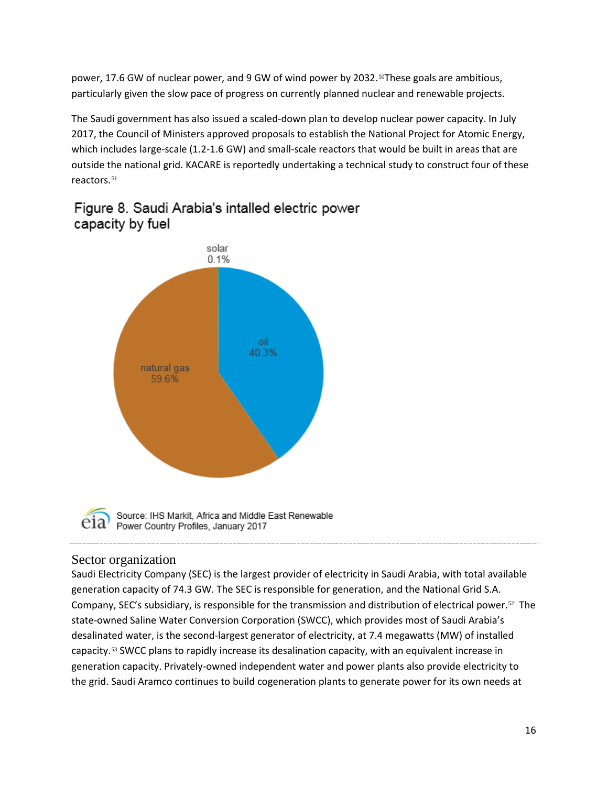power, 17.6 GW of nuclear power, and 9 GW of wind power by 2032.<sup>[50](#page-18-46)</sup>These goals are ambitious, particularly given the slow pace of progress on currently planned nuclear and renewable projects.

The Saudi government has also issued a scaled-down plan to develop nuclear power capacity. In July 2017, the Council of Ministers approved proposals to establish the National Project for Atomic Energy, which includes large-scale (1.2-1.6 GW) and small-scale reactors that would be built in areas that are outside the national grid. KACARE is reportedly undertaking a technical study to construct four of these reactors.<sup>[51](#page-18-47)</sup>



Figure 8. Saudi Arabia's intalled electric power capacity by fuel

Source: IHS Markit, Africa and Middle East Renewable Power Country Profiles, January 2017

#### Sector organization

Saudi Electricity Company (SEC) is the largest provider of electricity in Saudi Arabia, with total available generation capacity of 74.3 GW. The SEC is responsible for generation, and the National Grid S.A. Company, SEC's subsidiary, is responsible for the transmission and distribution of electrical power.<sup>[52](#page-18-48)</sup> The state-owned Saline Water Conversion Corporation (SWCC), which provides most of Saudi Arabia's desalinated water, is the second-largest generator of electricity, at 7.4 megawatts (MW) of installed capacity.[53](#page-18-49) SWCC plans to rapidly increase its desalination capacity, with an equivalent increase in generation capacity. Privately-owned independent water and power plants also provide electricity to the grid. Saudi Aramco continues to build cogeneration plants to generate power for its own needs at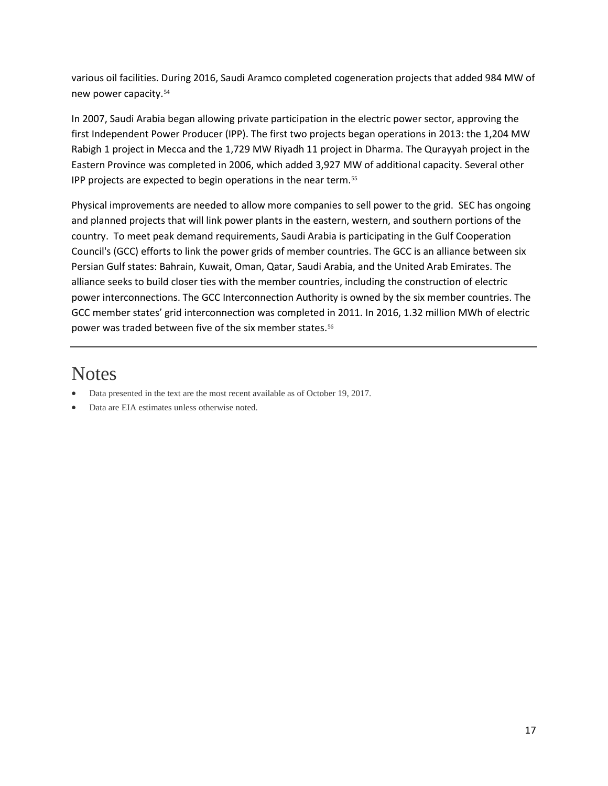various oil facilities. During 2016, Saudi Aramco completed cogeneration projects that added 984 MW of new power capacity.[54](#page-18-50)

In 2007, Saudi Arabia began allowing private participation in the electric power sector, approving the first Independent Power Producer (IPP). The first two projects began operations in 2013: the 1,204 MW Rabigh 1 project in Mecca and the 1,729 MW Riyadh 11 project in Dharma. The Qurayyah project in the Eastern Province was completed in 2006, which added 3,927 MW of additional capacity. Several other IPP projects are expected to begin operations in the near term.[55](#page-18-51)

Physical improvements are needed to allow more companies to sell power to the grid. SEC has ongoing and planned projects that will link power plants in the eastern, western, and southern portions of the country. To meet peak demand requirements, Saudi Arabia is participating in the Gulf Cooperation Council's (GCC) efforts to link the power grids of member countries. The GCC is an alliance between six Persian Gulf states: Bahrain, Kuwait, Oman, Qatar, Saudi Arabia, and the United Arab Emirates. The alliance seeks to build closer ties with the member countries, including the construction of electric power interconnections. The GCC Interconnection Authority is owned by the six member countries. The GCC member states' grid interconnection was completed in 2011. In 2016, 1.32 million MWh of electric power was traded between five of the six member states.<sup>[56](#page-18-52)</sup>

### **Notes**

- Data presented in the text are the most recent available as of October 19, 2017.
- Data are EIA estimates unless otherwise noted.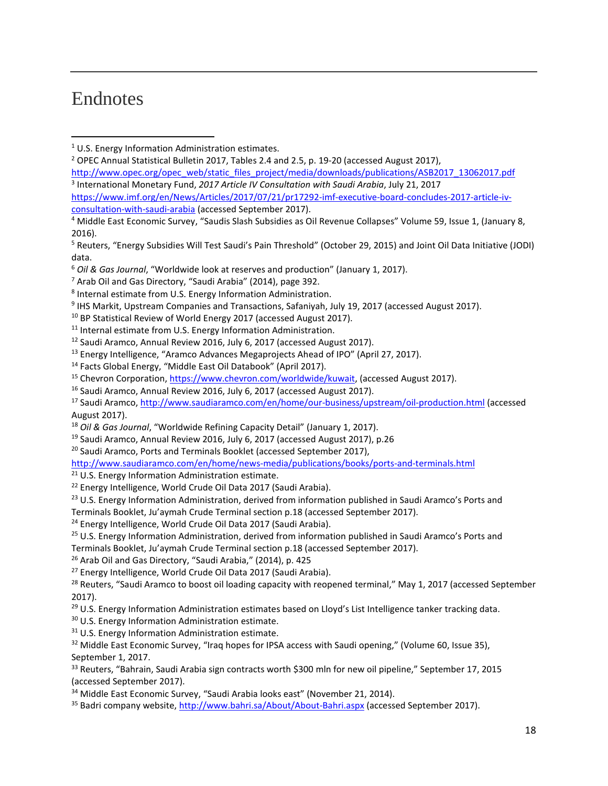### Endnotes

l

<span id="page-17-1"></span><sup>2</sup> OPEC Annual Statistical Bulletin 2017, Tables 2.4 and 2.5, p. 19-20 (accessed August 2017), [http://www.opec.org/opec\\_web/static\\_files\\_project/media/downloads/publications/ASB2017\\_13062017.pdf](http://www.opec.org/opec_web/static_files_project/media/downloads/publications/ASB2017_13062017.pdf) <sup>3</sup> International Monetary Fund, *2017 Article IV Consultation with Saudi Arabia*, July 21, 2017

<span id="page-17-2"></span>[https://www.imf.org/en/News/Articles/2017/07/21/pr17292-imf-executive-board-concludes-2017-article-iv](https://www.imf.org/en/News/Articles/2017/07/21/pr17292-imf-executive-board-concludes-2017-article-iv-consultation-with-saudi-arabia)[consultation-with-saudi-arabia](https://www.imf.org/en/News/Articles/2017/07/21/pr17292-imf-executive-board-concludes-2017-article-iv-consultation-with-saudi-arabia) (accessed September 2017).

- <sup>11</sup> Internal estimate from U.S. Energy Information Administration.
- <sup>12</sup> Saudi Aramco, Annual Review 2016, July 6, 2017 (accessed August 2017).
- <sup>13</sup> Energy Intelligence, "Aramco Advances Megaprojects Ahead of IPO" (April 27, 2017).
- <sup>14</sup> Facts Global Energy, "Middle East Oil Databook" (April 2017).
- <sup>15</sup> Chevron Corporation, [https://www.chevron.com/worldwide/kuwait,](https://www.chevron.com/worldwide/kuwait) (accessed August 2017).
- <sup>16</sup> Saudi Aramco, Annual Review 2016, July 6, 2017 (accessed August 2017).

- <sup>18</sup> *Oil & Gas Journal*, "Worldwide Refining Capacity Detail" (January 1, 2017).
- <sup>19</sup> Saudi Aramco, Annual Review 2016, July 6, 2017 (accessed August 2017), p.26
- <sup>20</sup> Saudi Aramco, Ports and Terminals Booklet (accessed September 2017),

<http://www.saudiaramco.com/en/home/news-media/publications/books/ports-and-terminals.html>

- <sup>21</sup> U.S. Energy Information Administration estimate.
- <sup>22</sup> Energy Intelligence, World Crude Oil Data 2017 (Saudi Arabia).
- <sup>23</sup> U.S. Energy Information Administration, derived from information published in Saudi Aramco's Ports and Terminals Booklet, Ju'aymah Crude Terminal section p.18 (accessed September 2017).
- <sup>24</sup> Energy Intelligence, World Crude Oil Data 2017 (Saudi Arabia).
- <sup>25</sup> U.S. Energy Information Administration, derived from information published in Saudi Aramco's Ports and Terminals Booklet, Ju'aymah Crude Terminal section p.18 (accessed September 2017).
- <sup>26</sup> Arab Oil and Gas Directory, "Saudi Arabia," (2014), p. 425
- <sup>27</sup> Energy Intelligence, World Crude Oil Data 2017 (Saudi Arabia).

<sup>28</sup> Reuters, "Saudi Aramco to boost oil loading capacity with reopened terminal," May 1, 2017 (accessed September 2017).

<sup>29</sup> U.S. Energy Information Administration estimates based on Lloyd's List Intelligence tanker tracking data.

- <sup>30</sup> U.S. Energy Information Administration estimate.
- <sup>31</sup> U.S. Energy Information Administration estimate.
- <sup>32</sup> Middle East Economic Survey, "Iraq hopes for IPSA access with Saudi opening," (Volume 60, Issue 35), September 1, 2017.

33 Reuters, "Bahrain, Saudi Arabia sign contracts worth \$300 mln for new oil pipeline," September 17, 2015 (accessed September 2017).

<sup>34</sup> Middle East Economic Survey, "Saudi Arabia looks east" (November 21, 2014).

<sup>35</sup> Badri company website[, http://www.bahri.sa/About/About-Bahri.aspx](http://www.bahri.sa/About/About-Bahri.aspx) (accessed September 2017).

<span id="page-17-0"></span> $1$  U.S. Energy Information Administration estimates.

<sup>4</sup> Middle East Economic Survey, "Saudis Slash Subsidies as Oil Revenue Collapses" Volume 59, Issue 1, (January 8, 2016).

<sup>5</sup> Reuters, "Energy Subsidies Will Test Saudi's Pain Threshold" (October 29, 2015) and Joint Oil Data Initiative (JODI) data.

<sup>&</sup>lt;sup>6</sup> *Oil & Gas Journal, "Worldwide look at reserves and production" (January 1, 2017).* 7 *Prab Oil and Gas Directory, "Saudi Arabia" (2014), page 392.* 

<sup>8</sup> Internal estimate from U.S. Energy Information Administration.

<sup>9</sup> IHS Markit, Upstream Companies and Transactions, Safaniyah, July 19, 2017 (accessed August 2017).

<sup>&</sup>lt;sup>10</sup> BP Statistical Review of World Energy 2017 (accessed August 2017).

<sup>17</sup> Saudi Aramco[, http://www.saudiaramco.com/en/home/our-business/upstream/oil-production.html](http://www.saudiaramco.com/en/home/our-business/upstream/oil-production.html) (accessed August 2017).